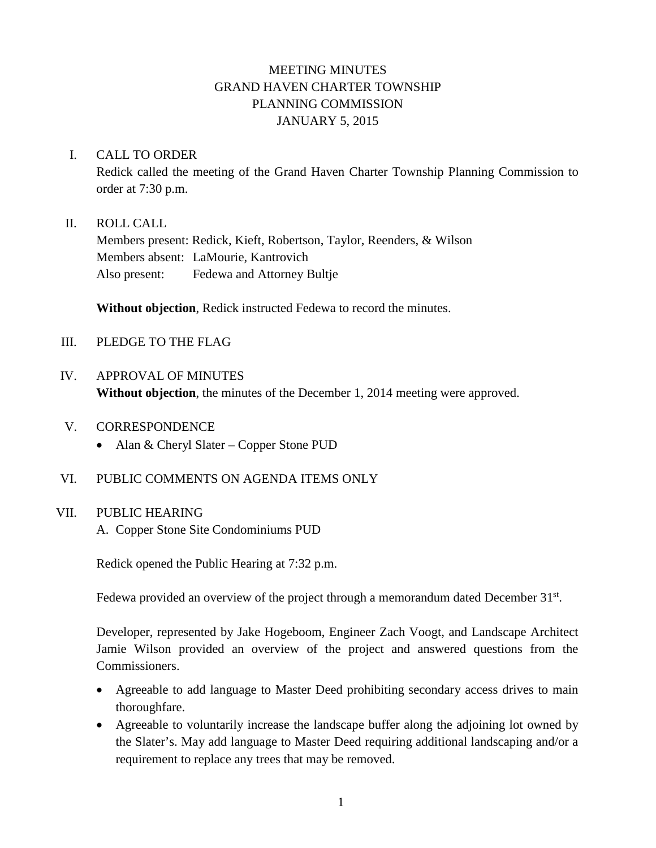# MEETING MINUTES GRAND HAVEN CHARTER TOWNSHIP PLANNING COMMISSION JANUARY 5, 2015

### I. CALL TO ORDER

Redick called the meeting of the Grand Haven Charter Township Planning Commission to order at 7:30 p.m.

### II. ROLL CALL

Members present: Redick, Kieft, Robertson, Taylor, Reenders, & Wilson Members absent: LaMourie, Kantrovich Also present: Fedewa and Attorney Bultje

**Without objection**, Redick instructed Fedewa to record the minutes.

- III. PLEDGE TO THE FLAG
- IV. APPROVAL OF MINUTES **Without objection**, the minutes of the December 1, 2014 meeting were approved.
- V. CORRESPONDENCE
	- Alan & Cheryl Slater Copper Stone PUD
- VI. PUBLIC COMMENTS ON AGENDA ITEMS ONLY

## VII. PUBLIC HEARING

A. Copper Stone Site Condominiums PUD

Redick opened the Public Hearing at 7:32 p.m.

Fedewa provided an overview of the project through a memorandum dated December 31<sup>st</sup>.

Developer, represented by Jake Hogeboom, Engineer Zach Voogt, and Landscape Architect Jamie Wilson provided an overview of the project and answered questions from the Commissioners.

- Agreeable to add language to Master Deed prohibiting secondary access drives to main thoroughfare.
- Agreeable to voluntarily increase the landscape buffer along the adjoining lot owned by the Slater's. May add language to Master Deed requiring additional landscaping and/or a requirement to replace any trees that may be removed.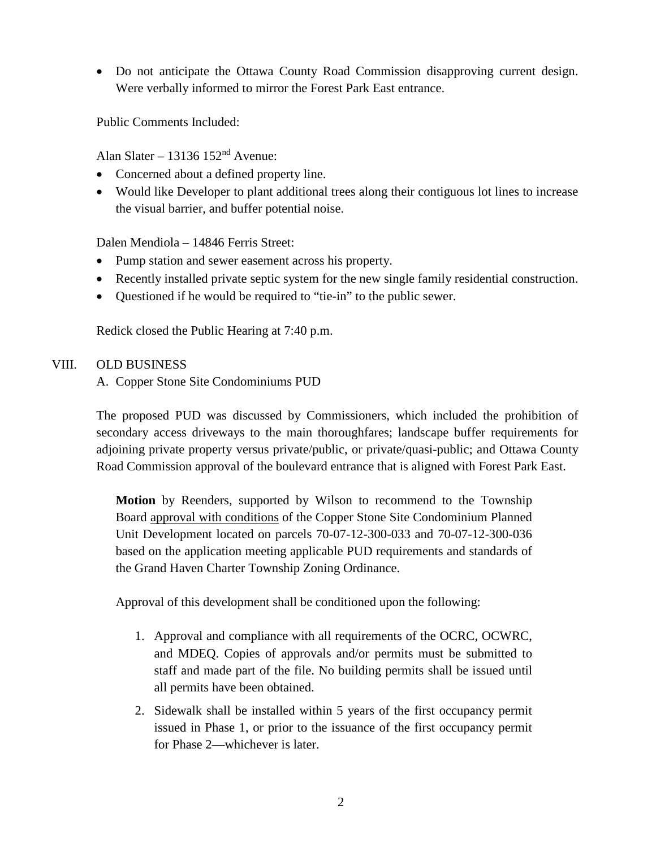• Do not anticipate the Ottawa County Road Commission disapproving current design. Were verbally informed to mirror the Forest Park East entrance.

Public Comments Included:

Alan Slater – 13136 152nd Avenue:

- Concerned about a defined property line.
- Would like Developer to plant additional trees along their contiguous lot lines to increase the visual barrier, and buffer potential noise.

Dalen Mendiola – 14846 Ferris Street:

- Pump station and sewer easement across his property.
- Recently installed private septic system for the new single family residential construction.
- Ouestioned if he would be required to "tie-in" to the public sewer.

Redick closed the Public Hearing at 7:40 p.m.

## VIII. OLD BUSINESS

A. Copper Stone Site Condominiums PUD

The proposed PUD was discussed by Commissioners, which included the prohibition of secondary access driveways to the main thoroughfares; landscape buffer requirements for adjoining private property versus private/public, or private/quasi-public; and Ottawa County Road Commission approval of the boulevard entrance that is aligned with Forest Park East.

**Motion** by Reenders, supported by Wilson to recommend to the Township Board approval with conditions of the Copper Stone Site Condominium Planned Unit Development located on parcels 70-07-12-300-033 and 70-07-12-300-036 based on the application meeting applicable PUD requirements and standards of the Grand Haven Charter Township Zoning Ordinance.

Approval of this development shall be conditioned upon the following:

- 1. Approval and compliance with all requirements of the OCRC, OCWRC, and MDEQ. Copies of approvals and/or permits must be submitted to staff and made part of the file. No building permits shall be issued until all permits have been obtained.
- 2. Sidewalk shall be installed within 5 years of the first occupancy permit issued in Phase 1, or prior to the issuance of the first occupancy permit for Phase 2—whichever is later.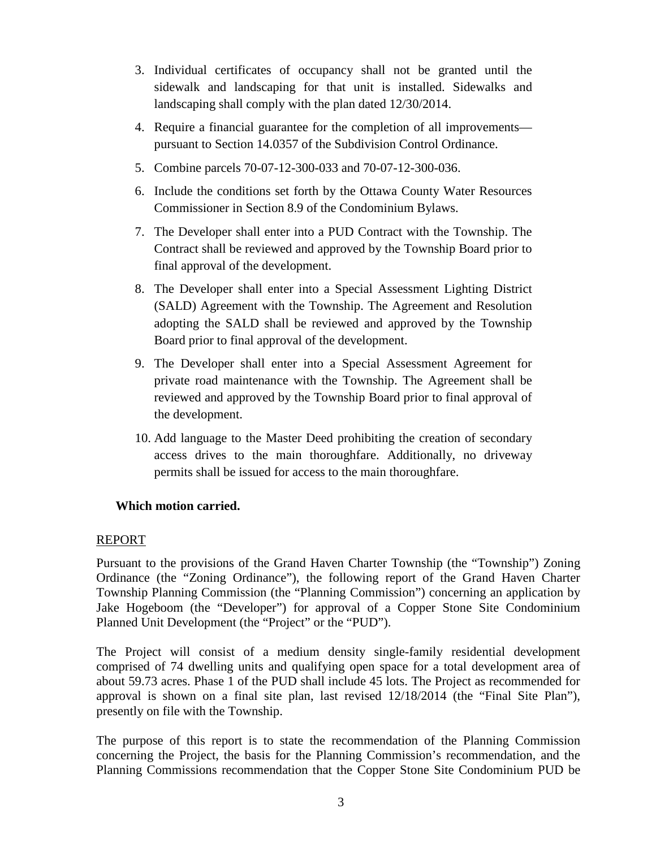- 3. Individual certificates of occupancy shall not be granted until the sidewalk and landscaping for that unit is installed. Sidewalks and landscaping shall comply with the plan dated 12/30/2014.
- 4. Require a financial guarantee for the completion of all improvements pursuant to Section 14.0357 of the Subdivision Control Ordinance.
- 5. Combine parcels 70-07-12-300-033 and 70-07-12-300-036.
- 6. Include the conditions set forth by the Ottawa County Water Resources Commissioner in Section 8.9 of the Condominium Bylaws.
- 7. The Developer shall enter into a PUD Contract with the Township. The Contract shall be reviewed and approved by the Township Board prior to final approval of the development.
- 8. The Developer shall enter into a Special Assessment Lighting District (SALD) Agreement with the Township. The Agreement and Resolution adopting the SALD shall be reviewed and approved by the Township Board prior to final approval of the development.
- 9. The Developer shall enter into a Special Assessment Agreement for private road maintenance with the Township. The Agreement shall be reviewed and approved by the Township Board prior to final approval of the development.
- 10. Add language to the Master Deed prohibiting the creation of secondary access drives to the main thoroughfare. Additionally, no driveway permits shall be issued for access to the main thoroughfare.

## **Which motion carried.**

### REPORT

Pursuant to the provisions of the Grand Haven Charter Township (the "Township") Zoning Ordinance (the "Zoning Ordinance"), the following report of the Grand Haven Charter Township Planning Commission (the "Planning Commission") concerning an application by Jake Hogeboom (the "Developer") for approval of a Copper Stone Site Condominium Planned Unit Development (the "Project" or the "PUD").

The Project will consist of a medium density single-family residential development comprised of 74 dwelling units and qualifying open space for a total development area of about 59.73 acres. Phase 1 of the PUD shall include 45 lots. The Project as recommended for approval is shown on a final site plan, last revised 12/18/2014 (the "Final Site Plan"), presently on file with the Township.

The purpose of this report is to state the recommendation of the Planning Commission concerning the Project, the basis for the Planning Commission's recommendation, and the Planning Commissions recommendation that the Copper Stone Site Condominium PUD be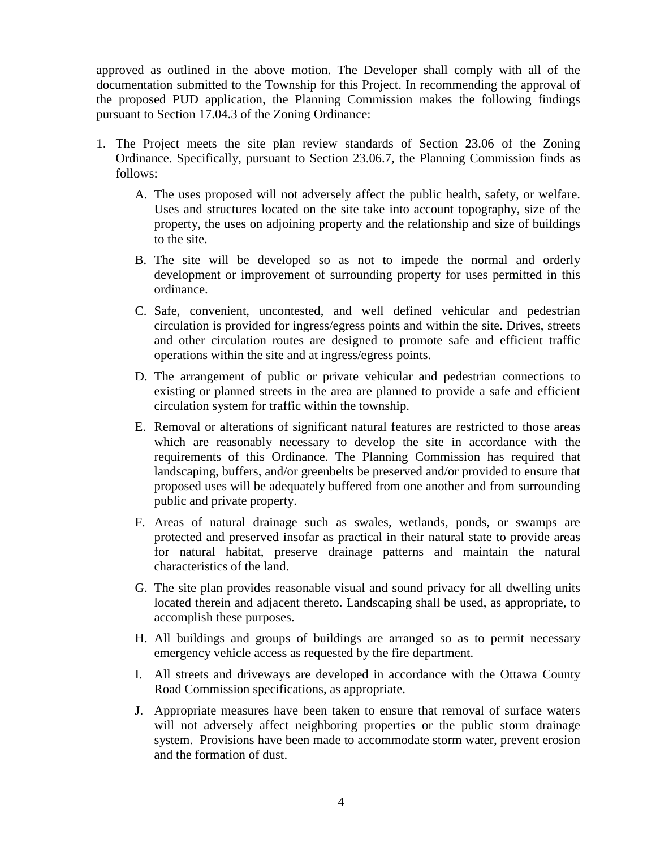approved as outlined in the above motion. The Developer shall comply with all of the documentation submitted to the Township for this Project. In recommending the approval of the proposed PUD application, the Planning Commission makes the following findings pursuant to Section 17.04.3 of the Zoning Ordinance:

- 1. The Project meets the site plan review standards of Section 23.06 of the Zoning Ordinance. Specifically, pursuant to Section 23.06.7, the Planning Commission finds as follows:
	- A. The uses proposed will not adversely affect the public health, safety, or welfare. Uses and structures located on the site take into account topography, size of the property, the uses on adjoining property and the relationship and size of buildings to the site.
	- B. The site will be developed so as not to impede the normal and orderly development or improvement of surrounding property for uses permitted in this ordinance.
	- C. Safe, convenient, uncontested, and well defined vehicular and pedestrian circulation is provided for ingress/egress points and within the site. Drives, streets and other circulation routes are designed to promote safe and efficient traffic operations within the site and at ingress/egress points.
	- D. The arrangement of public or private vehicular and pedestrian connections to existing or planned streets in the area are planned to provide a safe and efficient circulation system for traffic within the township.
	- E. Removal or alterations of significant natural features are restricted to those areas which are reasonably necessary to develop the site in accordance with the requirements of this Ordinance. The Planning Commission has required that landscaping, buffers, and/or greenbelts be preserved and/or provided to ensure that proposed uses will be adequately buffered from one another and from surrounding public and private property.
	- F. Areas of natural drainage such as swales, wetlands, ponds, or swamps are protected and preserved insofar as practical in their natural state to provide areas for natural habitat, preserve drainage patterns and maintain the natural characteristics of the land.
	- G. The site plan provides reasonable visual and sound privacy for all dwelling units located therein and adjacent thereto. Landscaping shall be used, as appropriate, to accomplish these purposes.
	- H. All buildings and groups of buildings are arranged so as to permit necessary emergency vehicle access as requested by the fire department.
	- I. All streets and driveways are developed in accordance with the Ottawa County Road Commission specifications, as appropriate.
	- J. Appropriate measures have been taken to ensure that removal of surface waters will not adversely affect neighboring properties or the public storm drainage system. Provisions have been made to accommodate storm water, prevent erosion and the formation of dust.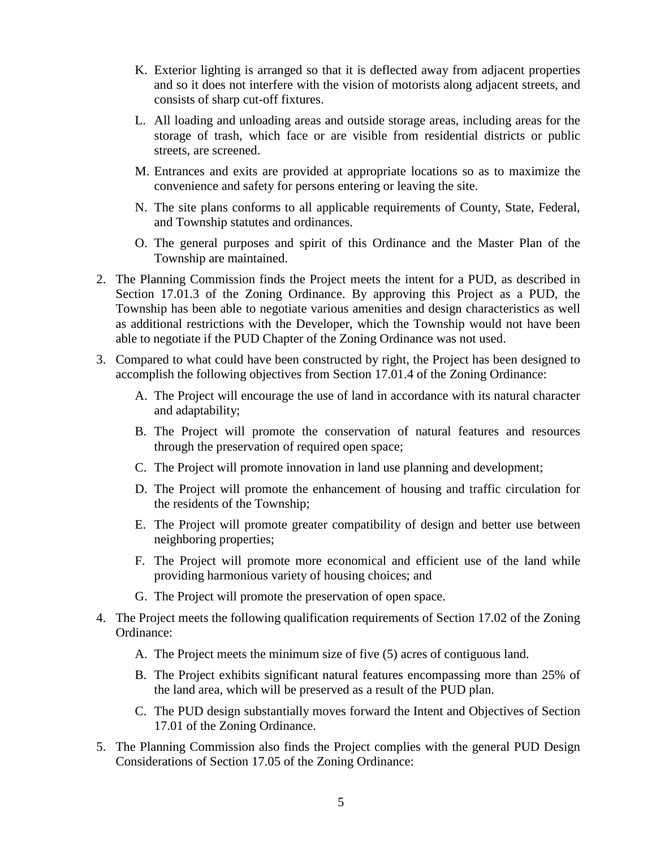- K. Exterior lighting is arranged so that it is deflected away from adjacent properties and so it does not interfere with the vision of motorists along adjacent streets, and consists of sharp cut-off fixtures.
- L. All loading and unloading areas and outside storage areas, including areas for the storage of trash, which face or are visible from residential districts or public streets, are screened.
- M. Entrances and exits are provided at appropriate locations so as to maximize the convenience and safety for persons entering or leaving the site.
- N. The site plans conforms to all applicable requirements of County, State, Federal, and Township statutes and ordinances.
- O. The general purposes and spirit of this Ordinance and the Master Plan of the Township are maintained.
- 2. The Planning Commission finds the Project meets the intent for a PUD, as described in Section 17.01.3 of the Zoning Ordinance. By approving this Project as a PUD, the Township has been able to negotiate various amenities and design characteristics as well as additional restrictions with the Developer, which the Township would not have been able to negotiate if the PUD Chapter of the Zoning Ordinance was not used.
- 3. Compared to what could have been constructed by right, the Project has been designed to accomplish the following objectives from Section 17.01.4 of the Zoning Ordinance:
	- A. The Project will encourage the use of land in accordance with its natural character and adaptability;
	- B. The Project will promote the conservation of natural features and resources through the preservation of required open space;
	- C. The Project will promote innovation in land use planning and development;
	- D. The Project will promote the enhancement of housing and traffic circulation for the residents of the Township;
	- E. The Project will promote greater compatibility of design and better use between neighboring properties;
	- F. The Project will promote more economical and efficient use of the land while providing harmonious variety of housing choices; and
	- G. The Project will promote the preservation of open space.
- 4. The Project meets the following qualification requirements of Section 17.02 of the Zoning Ordinance:
	- A. The Project meets the minimum size of five (5) acres of contiguous land.
	- B. The Project exhibits significant natural features encompassing more than 25% of the land area, which will be preserved as a result of the PUD plan.
	- C. The PUD design substantially moves forward the Intent and Objectives of Section 17.01 of the Zoning Ordinance.
- 5. The Planning Commission also finds the Project complies with the general PUD Design Considerations of Section 17.05 of the Zoning Ordinance: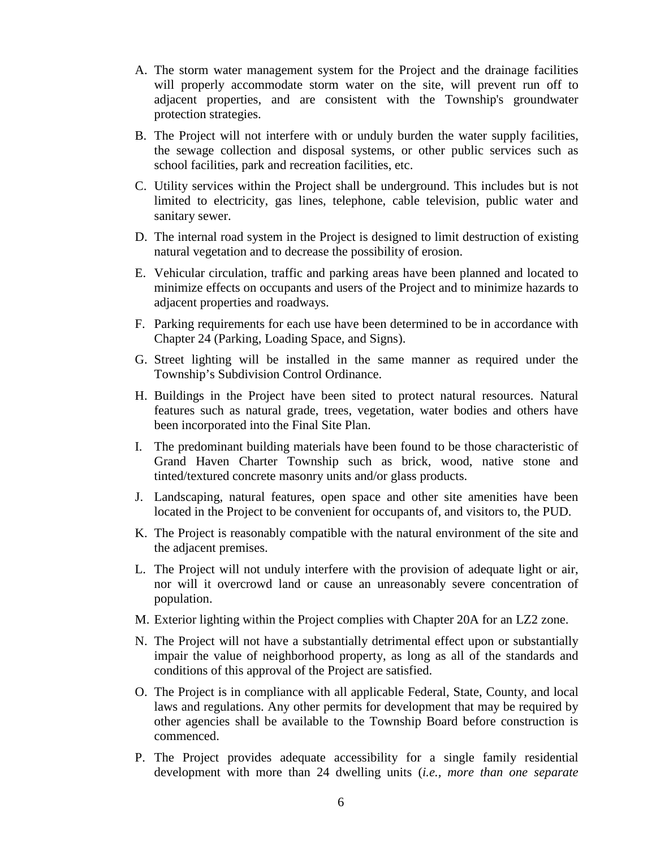- A. The storm water management system for the Project and the drainage facilities will properly accommodate storm water on the site, will prevent run off to adjacent properties, and are consistent with the Township's groundwater protection strategies.
- B. The Project will not interfere with or unduly burden the water supply facilities, the sewage collection and disposal systems, or other public services such as school facilities, park and recreation facilities, etc.
- C. Utility services within the Project shall be underground. This includes but is not limited to electricity, gas lines, telephone, cable television, public water and sanitary sewer.
- D. The internal road system in the Project is designed to limit destruction of existing natural vegetation and to decrease the possibility of erosion.
- E. Vehicular circulation, traffic and parking areas have been planned and located to minimize effects on occupants and users of the Project and to minimize hazards to adjacent properties and roadways.
- F. Parking requirements for each use have been determined to be in accordance with Chapter 24 (Parking, Loading Space, and Signs).
- G. Street lighting will be installed in the same manner as required under the Township's Subdivision Control Ordinance.
- H. Buildings in the Project have been sited to protect natural resources. Natural features such as natural grade, trees, vegetation, water bodies and others have been incorporated into the Final Site Plan.
- I. The predominant building materials have been found to be those characteristic of Grand Haven Charter Township such as brick, wood, native stone and tinted/textured concrete masonry units and/or glass products.
- J. Landscaping, natural features, open space and other site amenities have been located in the Project to be convenient for occupants of, and visitors to, the PUD.
- K. The Project is reasonably compatible with the natural environment of the site and the adjacent premises.
- L. The Project will not unduly interfere with the provision of adequate light or air, nor will it overcrowd land or cause an unreasonably severe concentration of population.
- M. Exterior lighting within the Project complies with Chapter 20A for an LZ2 zone.
- N. The Project will not have a substantially detrimental effect upon or substantially impair the value of neighborhood property, as long as all of the standards and conditions of this approval of the Project are satisfied.
- O. The Project is in compliance with all applicable Federal, State, County, and local laws and regulations. Any other permits for development that may be required by other agencies shall be available to the Township Board before construction is commenced.
- P. The Project provides adequate accessibility for a single family residential development with more than 24 dwelling units (*i.e., more than one separate*